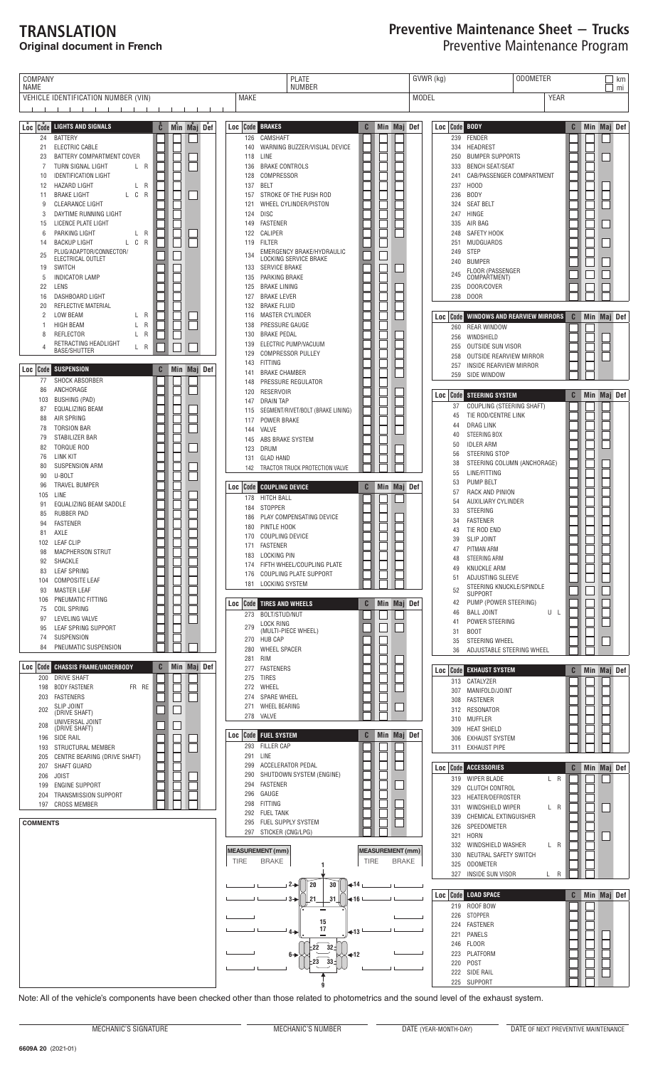## TRANSLATION **Original document in French**

## Preventive Maintenance Sheet − Trucks Preventive Maintenance Program

| <b>NUMBER</b><br>NAME<br>VEHICLE IDENTIFICATION NUMBER (VIN)<br><b>YEAR</b><br><b>MAKE</b><br><b>MODEL</b><br><u> 1 - 1 - 1 - 1 - 1 - 1 - 1</u><br>$\blacksquare$<br>$-1$ $-1$ $-1$<br>Min Maj Def<br>$Loc$ $\sim$ $Coc$ $\sim$<br><b>LIGHTS AND SIGNALS</b><br>Ĉ<br>Min Maj Def<br><b>Loc</b> Code BRAKES<br>C<br>Loc Code BODY<br>C<br>24<br><b>BATTERY</b><br>126<br>CAMSHAFT<br>239<br>FENDER<br>21<br>ELECTRIC CABLE<br>WARNING BUZZER/VISUAL DEVICE<br>334<br>HEADREST<br>140<br>23<br>BATTERY COMPARTMENT COVER<br>LINE<br>250<br><b>BUMPER SUPPORTS</b><br>118<br>TURN SIGNAL LIGHT<br>L R<br><b>BRAKE CONTROLS</b><br><b>BENCH SEAT/SEAT</b><br>7<br>136<br>333<br><b>IDENTIFICATION LIGHT</b><br>COMPRESSOR<br>CAB/PASSENGER COMPARTMENT<br>10<br>128<br>241<br><b>HAZARD LIGHT</b><br>L R<br><b>BELT</b><br>237<br>H <sub>0</sub> OD<br>12<br>137<br>L C R<br><b>BODY</b><br><b>BRAKE LIGHT</b><br>STROKE OF THE PUSH ROD<br>236<br>11<br>157<br>CLEARANCE LIGHT<br>WHEEL CYLINDER/PISTON<br>324<br><b>SEAT BELT</b><br>9<br>121 | mi<br>Min Maj Def |
|---------------------------------------------------------------------------------------------------------------------------------------------------------------------------------------------------------------------------------------------------------------------------------------------------------------------------------------------------------------------------------------------------------------------------------------------------------------------------------------------------------------------------------------------------------------------------------------------------------------------------------------------------------------------------------------------------------------------------------------------------------------------------------------------------------------------------------------------------------------------------------------------------------------------------------------------------------------------------------------------------------------------------------------------|-------------------|
|                                                                                                                                                                                                                                                                                                                                                                                                                                                                                                                                                                                                                                                                                                                                                                                                                                                                                                                                                                                                                                             |                   |
|                                                                                                                                                                                                                                                                                                                                                                                                                                                                                                                                                                                                                                                                                                                                                                                                                                                                                                                                                                                                                                             |                   |
|                                                                                                                                                                                                                                                                                                                                                                                                                                                                                                                                                                                                                                                                                                                                                                                                                                                                                                                                                                                                                                             |                   |
|                                                                                                                                                                                                                                                                                                                                                                                                                                                                                                                                                                                                                                                                                                                                                                                                                                                                                                                                                                                                                                             |                   |
|                                                                                                                                                                                                                                                                                                                                                                                                                                                                                                                                                                                                                                                                                                                                                                                                                                                                                                                                                                                                                                             |                   |
|                                                                                                                                                                                                                                                                                                                                                                                                                                                                                                                                                                                                                                                                                                                                                                                                                                                                                                                                                                                                                                             |                   |
|                                                                                                                                                                                                                                                                                                                                                                                                                                                                                                                                                                                                                                                                                                                                                                                                                                                                                                                                                                                                                                             |                   |
|                                                                                                                                                                                                                                                                                                                                                                                                                                                                                                                                                                                                                                                                                                                                                                                                                                                                                                                                                                                                                                             |                   |
|                                                                                                                                                                                                                                                                                                                                                                                                                                                                                                                                                                                                                                                                                                                                                                                                                                                                                                                                                                                                                                             |                   |
| DAYTIME RUNNING LIGHT<br><b>DISC</b><br>247<br>HINGE<br>124<br>3                                                                                                                                                                                                                                                                                                                                                                                                                                                                                                                                                                                                                                                                                                                                                                                                                                                                                                                                                                            |                   |
| LICENCE PLATE LIGHT<br><b>FASTENER</b><br>335<br>AIR BAG<br>15<br>149                                                                                                                                                                                                                                                                                                                                                                                                                                                                                                                                                                                                                                                                                                                                                                                                                                                                                                                                                                       |                   |
| PARKING LIGHT<br>L R<br>CALIPER<br>SAFETY HOOK<br>122<br>248<br>6<br>L C R<br><b>BACKUP LIGHT</b><br>FILTER<br>251<br>MUDGUARDS<br>119<br>14                                                                                                                                                                                                                                                                                                                                                                                                                                                                                                                                                                                                                                                                                                                                                                                                                                                                                                |                   |
| PLUG/ADAPTOR/CONNECTOR/<br>EMERGENCY BRAKE/HYDRAULIC<br>249<br><b>STEP</b><br>25<br>134<br>ELECTRICAL OUTLET<br>LOCKING SERVICE BRAKE                                                                                                                                                                                                                                                                                                                                                                                                                                                                                                                                                                                                                                                                                                                                                                                                                                                                                                       |                   |
| <b>BUMPER</b><br>240<br><b>SWITCH</b><br><b>SERVICE BRAKE</b><br>19<br>133<br>FLOOR (PASSENGER                                                                                                                                                                                                                                                                                                                                                                                                                                                                                                                                                                                                                                                                                                                                                                                                                                                                                                                                              |                   |
| 245<br>COMPARTMENT)<br><b>INDICATOR LAMP</b><br>PARKING BRAKE<br>5<br>135                                                                                                                                                                                                                                                                                                                                                                                                                                                                                                                                                                                                                                                                                                                                                                                                                                                                                                                                                                   |                   |
| 22<br>LENS<br><b>BRAKE LINING</b><br>235<br>DOOR/COVER<br>125<br>DASHBOARD LIGHT<br><b>BRAKE LEVER</b><br>238<br><b>DOOR</b><br>16<br>127                                                                                                                                                                                                                                                                                                                                                                                                                                                                                                                                                                                                                                                                                                                                                                                                                                                                                                   |                   |
| REFLECTIVE MATERIAL<br><b>BRAKE FLUID</b><br>20<br>132                                                                                                                                                                                                                                                                                                                                                                                                                                                                                                                                                                                                                                                                                                                                                                                                                                                                                                                                                                                      |                   |
| <b>LOW BEAM</b><br>L R<br>MASTER CYLINDER<br>2<br>116<br>C<br>WINDOWS AND REARVIEW MIRRORS<br>Code  <br>Loc<br><b>HIGH BEAM</b><br>L<br>R<br>PRESSURE GAUGE<br>138<br>1                                                                                                                                                                                                                                                                                                                                                                                                                                                                                                                                                                                                                                                                                                                                                                                                                                                                     | Min Maj Def       |
| <b>REAR WINDOW</b><br>260<br><b>REFLECTOR</b><br>L R<br><b>BRAKE PEDAL</b><br>8<br>130<br>WINDSHIELD<br>256                                                                                                                                                                                                                                                                                                                                                                                                                                                                                                                                                                                                                                                                                                                                                                                                                                                                                                                                 |                   |
| RETRACTING HEADLIGHT<br>ELECTRIC PUMP/VACUUM<br>139<br>OUTSIDE SUN VISOR<br>255<br>L R<br><b>BASE/SHUTTER</b>                                                                                                                                                                                                                                                                                                                                                                                                                                                                                                                                                                                                                                                                                                                                                                                                                                                                                                                               |                   |
| <b>COMPRESSOR PULLEY</b><br>129<br><b>OUTSIDE REARVIEW MIRROR</b><br>258<br>FITTING<br>143<br>INSIDE REARVIEW MIRROR                                                                                                                                                                                                                                                                                                                                                                                                                                                                                                                                                                                                                                                                                                                                                                                                                                                                                                                        |                   |
| 257<br><b>SUSPENSION</b><br>Min Maj Def<br>Loc   Code<br>C<br><b>BRAKE CHAMBER</b><br>141<br>SIDE WINDOW<br>259                                                                                                                                                                                                                                                                                                                                                                                                                                                                                                                                                                                                                                                                                                                                                                                                                                                                                                                             |                   |
| SHOCK ABSORBER<br>77<br>PRESSURE REGULATOR<br>148<br>ANCHORAGE<br>86<br><b>RESERVOIR</b><br>120                                                                                                                                                                                                                                                                                                                                                                                                                                                                                                                                                                                                                                                                                                                                                                                                                                                                                                                                             |                   |
| <b>Loc Code STEERING SYSTEM</b><br>C<br><b>BUSHING (PAD)</b><br>103<br><b>DRAIN TAP</b><br>147                                                                                                                                                                                                                                                                                                                                                                                                                                                                                                                                                                                                                                                                                                                                                                                                                                                                                                                                              | Min Maj Def       |
| COUPLING (STEERING SHAFT)<br>37<br>EQUALIZING BEAM<br>87<br>SEGMENT/RIVET/BOLT (BRAKE LINING)<br>115<br>TIE ROD/CENTRE LINK<br>45<br>AIR SPRING                                                                                                                                                                                                                                                                                                                                                                                                                                                                                                                                                                                                                                                                                                                                                                                                                                                                                             |                   |
| 88<br>POWER BRAKE<br>117<br><b>DRAG LINK</b><br>44<br><b>TORSION BAR</b><br>78<br>VALVE<br>144                                                                                                                                                                                                                                                                                                                                                                                                                                                                                                                                                                                                                                                                                                                                                                                                                                                                                                                                              |                   |
| STEERING BOX<br>40<br>79<br>STABILIZER BAR<br>ABS BRAKE SYSTEM<br>145<br><b>IDLER ARM</b><br>50                                                                                                                                                                                                                                                                                                                                                                                                                                                                                                                                                                                                                                                                                                                                                                                                                                                                                                                                             |                   |
| <b>TORQUE ROD</b><br>82<br>DRUM<br>123<br>STEERING STOP<br>56<br>76<br><b>LINK KIT</b><br><b>GLAD HAND</b><br>131                                                                                                                                                                                                                                                                                                                                                                                                                                                                                                                                                                                                                                                                                                                                                                                                                                                                                                                           |                   |
| STEERING COLUMN (ANCHORAGE)<br>38<br>SUSPENSION ARM<br>80<br>142 TRACTOR TRUCK PROTECTION VALVE                                                                                                                                                                                                                                                                                                                                                                                                                                                                                                                                                                                                                                                                                                                                                                                                                                                                                                                                             |                   |
| 55<br>LINE/FITTING<br>90<br>U-BOLT<br>PUMP BELT<br>53<br><b>TRAVEL BUMPER</b>                                                                                                                                                                                                                                                                                                                                                                                                                                                                                                                                                                                                                                                                                                                                                                                                                                                                                                                                                               |                   |
| 96<br>Loc Code COUPLING DEVICE<br>C<br>Min Maj Def<br>RACK AND PINION<br>57<br>LINE<br>105<br>178<br><b>HITCH BALL</b>                                                                                                                                                                                                                                                                                                                                                                                                                                                                                                                                                                                                                                                                                                                                                                                                                                                                                                                      |                   |
| AUXILIARY CYLINDER<br>54<br>EQUALIZING BEAM SADDLE<br>91<br>STOPPER<br>184<br>33<br>STEERING                                                                                                                                                                                                                                                                                                                                                                                                                                                                                                                                                                                                                                                                                                                                                                                                                                                                                                                                                |                   |
| <b>RUBBER PAD</b><br>85<br>PLAY COMPENSATING DEVICE<br>186<br><b>FASTENER</b><br>34<br><b>FASTENER</b><br>94                                                                                                                                                                                                                                                                                                                                                                                                                                                                                                                                                                                                                                                                                                                                                                                                                                                                                                                                |                   |
| PINTLE HOOK<br>180<br>TIE ROD END<br>43<br>AXLE<br>81<br>170 COUPLING DEVICE                                                                                                                                                                                                                                                                                                                                                                                                                                                                                                                                                                                                                                                                                                                                                                                                                                                                                                                                                                |                   |
| SLIP JOINT<br>39<br>102 LEAF CLIP<br>171 FASTENER<br>PITMAN ARM<br>47                                                                                                                                                                                                                                                                                                                                                                                                                                                                                                                                                                                                                                                                                                                                                                                                                                                                                                                                                                       |                   |
| MACPHERSON STRUT<br>98<br>183 LOCKING PIN<br>STEERING ARM<br>48<br>92<br>SHACKLE<br>174 FIFTH WHEEL/COUPLING PLATE                                                                                                                                                                                                                                                                                                                                                                                                                                                                                                                                                                                                                                                                                                                                                                                                                                                                                                                          |                   |
| <b>KNUCKLE ARM</b><br>49<br><b>LEAF SPRING</b><br>83<br>176 COUPLING PLATE SUPPORT<br>ADJUSTING SLEEVE<br>51                                                                                                                                                                                                                                                                                                                                                                                                                                                                                                                                                                                                                                                                                                                                                                                                                                                                                                                                |                   |
| <b>COMPOSITE LEAF</b><br>104<br>181 LOCKING SYSTEM<br>STEERING KNUCKLE/SPINDLE<br><b>MASTER LEAF</b><br>52<br>93                                                                                                                                                                                                                                                                                                                                                                                                                                                                                                                                                                                                                                                                                                                                                                                                                                                                                                                            |                   |
| <b>SUPPORT</b><br>PNEUMATIC FITTING<br>106<br>PUMP (POWER STEERING)<br><b>Code</b> TIRES AND WHEELS<br>Min Maj Def<br>42<br>C<br>Loc                                                                                                                                                                                                                                                                                                                                                                                                                                                                                                                                                                                                                                                                                                                                                                                                                                                                                                        |                   |
| <b>COIL SPRING</b><br>75<br><b>BALL JOINT</b><br>U L<br>46<br>273 BOLT/STUD/NUT                                                                                                                                                                                                                                                                                                                                                                                                                                                                                                                                                                                                                                                                                                                                                                                                                                                                                                                                                             |                   |
| LEVELING VALVE<br>97<br>POWER STEERING<br>41<br><b>LOCK RING</b><br>279<br>LEAF SPRING SUPPORT<br>95<br>(MULTI-PIECE WHEEL)                                                                                                                                                                                                                                                                                                                                                                                                                                                                                                                                                                                                                                                                                                                                                                                                                                                                                                                 |                   |
| 31<br><b>BOOT</b><br>SUSPENSION<br>74<br><b>HUB CAP</b><br>270<br>STEERING WHEEL<br>35                                                                                                                                                                                                                                                                                                                                                                                                                                                                                                                                                                                                                                                                                                                                                                                                                                                                                                                                                      |                   |
| PNEUMATIC SUSPENSION<br>84<br>280<br><b>WHEEL SPACER</b><br>ADJUSTABLE STEERING WHEEL<br>36                                                                                                                                                                                                                                                                                                                                                                                                                                                                                                                                                                                                                                                                                                                                                                                                                                                                                                                                                 |                   |
| 281<br>RIM<br><b>CHASSIS FRAME/UNDERBODY</b><br>Min Maj Def<br>Code<br>C<br>Loc<br>277 FASTENERS<br>Code EXHAUST SYSTEM<br>Loc                                                                                                                                                                                                                                                                                                                                                                                                                                                                                                                                                                                                                                                                                                                                                                                                                                                                                                              | C Min Maj Def     |
| <b>DRIVE SHAFT</b><br>275 TIRES<br>200<br>313 CATALYZER                                                                                                                                                                                                                                                                                                                                                                                                                                                                                                                                                                                                                                                                                                                                                                                                                                                                                                                                                                                     |                   |
| 198<br><b>BODY FASTENER</b><br>FR RE<br>272<br>WHEEL<br>307<br>MANIFOLD/JOINT<br>203<br>FASTENERS<br>274 SPARE WHEEL                                                                                                                                                                                                                                                                                                                                                                                                                                                                                                                                                                                                                                                                                                                                                                                                                                                                                                                        |                   |
| 308<br><b>FASTENER</b><br><b>SLIP JOINT</b><br>WHEEL BEARING<br>271<br>202<br>RESONATOR<br>312                                                                                                                                                                                                                                                                                                                                                                                                                                                                                                                                                                                                                                                                                                                                                                                                                                                                                                                                              |                   |
| (DRIVE SHAFT)<br>278 VALVE<br>310<br>MUFFLER<br>UNIVERSAL JOINT<br>208                                                                                                                                                                                                                                                                                                                                                                                                                                                                                                                                                                                                                                                                                                                                                                                                                                                                                                                                                                      |                   |
| (DRIVE SHAFT)<br><b>HEAT SHIELD</b><br>309<br><b>Code FUEL SYSTEM</b><br>Min Maj Def<br>C<br>Loc  <br>SIDE RAIL<br>196<br><b>EXHAUST SYSTEM</b><br>306                                                                                                                                                                                                                                                                                                                                                                                                                                                                                                                                                                                                                                                                                                                                                                                                                                                                                      |                   |
| 293 FILLER CAP<br>STRUCTURAL MEMBER<br>193<br>311 EXHAUST PIPE                                                                                                                                                                                                                                                                                                                                                                                                                                                                                                                                                                                                                                                                                                                                                                                                                                                                                                                                                                              |                   |
| 291 LINE<br>CENTRE BEARING (DRIVE SHAFT)<br>205<br>ACCELERATOR PEDAL<br>299<br>SHAFT GUARD<br>207<br>C<br>Code<br><b>ACCESSORIES</b>                                                                                                                                                                                                                                                                                                                                                                                                                                                                                                                                                                                                                                                                                                                                                                                                                                                                                                        | Min Maj Def       |
| Loc<br>290<br>SHUTDOWN SYSTEM (ENGINE)<br><b>JOIST</b><br>206<br>319 WIPER BLADE<br>L R                                                                                                                                                                                                                                                                                                                                                                                                                                                                                                                                                                                                                                                                                                                                                                                                                                                                                                                                                     |                   |
| 294<br><b>FASTENER</b><br><b>ENGINE SUPPORT</b><br>199<br><b>CLUTCH CONTROL</b><br>329<br>GAUGE<br>296                                                                                                                                                                                                                                                                                                                                                                                                                                                                                                                                                                                                                                                                                                                                                                                                                                                                                                                                      |                   |
| TRANSMISSION SUPPORT<br>204<br>HEATER/DEFROSTER<br>323<br>298<br>FITTING<br>197<br><b>CROSS MEMBER</b><br>WINDSHIELD WIPER<br>331<br>L R                                                                                                                                                                                                                                                                                                                                                                                                                                                                                                                                                                                                                                                                                                                                                                                                                                                                                                    |                   |
| 292<br><b>FUEL TANK</b><br>CHEMICAL EXTINGUISHER<br>339                                                                                                                                                                                                                                                                                                                                                                                                                                                                                                                                                                                                                                                                                                                                                                                                                                                                                                                                                                                     |                   |
| 295 FUEL SUPPLY SYSTEM<br><b>COMMENTS</b><br>326<br>SPEEDOMETER<br>297 STICKER (CNG/LPG)<br>321<br><b>HORN</b>                                                                                                                                                                                                                                                                                                                                                                                                                                                                                                                                                                                                                                                                                                                                                                                                                                                                                                                              |                   |
| 332<br>WINDSHIELD WASHER<br>L R                                                                                                                                                                                                                                                                                                                                                                                                                                                                                                                                                                                                                                                                                                                                                                                                                                                                                                                                                                                                             |                   |
| <b>MEASUREMENT</b> (mm)<br><b>MEASUREMENT</b> (mm)<br>330<br>NEUTRAL SAFETY SWITCH<br><b>BRAKE</b><br><b>TIRE</b><br><b>TIRE</b><br><b>BRAKE</b>                                                                                                                                                                                                                                                                                                                                                                                                                                                                                                                                                                                                                                                                                                                                                                                                                                                                                            |                   |
| 325<br>ODOMETER<br>327<br><b>INSIDE SUN VISOR</b><br>L R                                                                                                                                                                                                                                                                                                                                                                                                                                                                                                                                                                                                                                                                                                                                                                                                                                                                                                                                                                                    |                   |
| 20<br>30<br>י 2−<br>⊤14∌                                                                                                                                                                                                                                                                                                                                                                                                                                                                                                                                                                                                                                                                                                                                                                                                                                                                                                                                                                                                                    |                   |
| <b>Code LOAD SPACE</b><br>C<br>Loc<br>31<br>$3 - $<br>21<br>←16<br>219<br>ROOF BOW                                                                                                                                                                                                                                                                                                                                                                                                                                                                                                                                                                                                                                                                                                                                                                                                                                                                                                                                                          | Min Maj Def       |
| <b>STOPPER</b><br>226                                                                                                                                                                                                                                                                                                                                                                                                                                                                                                                                                                                                                                                                                                                                                                                                                                                                                                                                                                                                                       |                   |
| 15<br><b>FASTENER</b><br>224<br>17<br>$4 - 1$<br>$+13$<br>221<br>PANELS                                                                                                                                                                                                                                                                                                                                                                                                                                                                                                                                                                                                                                                                                                                                                                                                                                                                                                                                                                     |                   |
| <b>FLOOR</b><br>246<br>$22$ $32 -$                                                                                                                                                                                                                                                                                                                                                                                                                                                                                                                                                                                                                                                                                                                                                                                                                                                                                                                                                                                                          |                   |
| PLATFORM<br>223<br>4-12<br>6 →                                                                                                                                                                                                                                                                                                                                                                                                                                                                                                                                                                                                                                                                                                                                                                                                                                                                                                                                                                                                              |                   |
| 33 <sub>z</sub><br>:23<br>POST<br>220<br>222 SIDE RAIL                                                                                                                                                                                                                                                                                                                                                                                                                                                                                                                                                                                                                                                                                                                                                                                                                                                                                                                                                                                      |                   |
| 225 SUPPORT                                                                                                                                                                                                                                                                                                                                                                                                                                                                                                                                                                                                                                                                                                                                                                                                                                                                                                                                                                                                                                 |                   |

Note: All of the vehicle's components have been checked other than those related to photometrics and the sound level of the exhaust system.